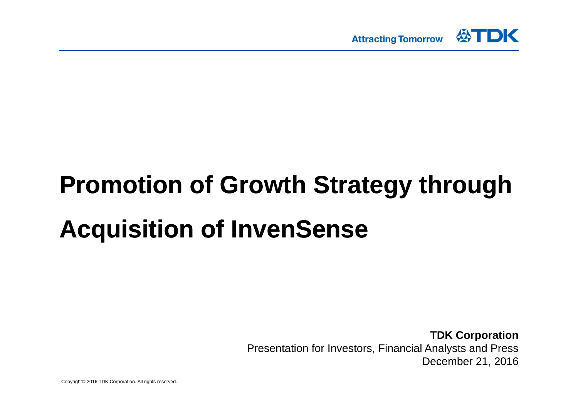

# **Promotion of Growth Strategy through Acquisition of InvenSense**

**TDK Corporation** Presentation for Investors, Financial Analysts and Press December 21, 2016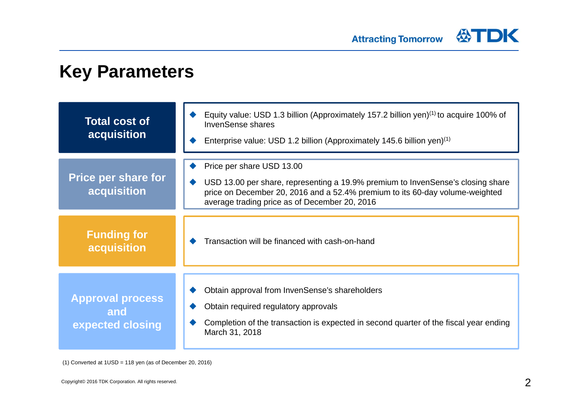

### **Key Parameters**

| <b>Total cost of</b><br>acquisition                | Equity value: USD 1.3 billion (Approximately 157.2 billion yen) $(1)$ to acquire 100% of<br><b>InvenSense shares</b><br>Enterprise value: USD 1.2 billion (Approximately 145.6 billion yen) $(1)$                                             |
|----------------------------------------------------|-----------------------------------------------------------------------------------------------------------------------------------------------------------------------------------------------------------------------------------------------|
| <b>Price per share for</b><br>acquisition          | Price per share USD 13.00<br>USD 13.00 per share, representing a 19.9% premium to InvenSense's closing share<br>price on December 20, 2016 and a 52.4% premium to its 60-day volume-weighted<br>average trading price as of December 20, 2016 |
| <b>Funding for</b><br>acquisition                  | Transaction will be financed with cash-on-hand                                                                                                                                                                                                |
| <b>Approval process</b><br>and<br>expected closing | Obtain approval from InvenSense's shareholders<br>Obtain required regulatory approvals<br>Completion of the transaction is expected in second quarter of the fiscal year ending<br>March 31, 2018                                             |

(1) Converted at 1USD = 118 yen (as of December 20, 2016)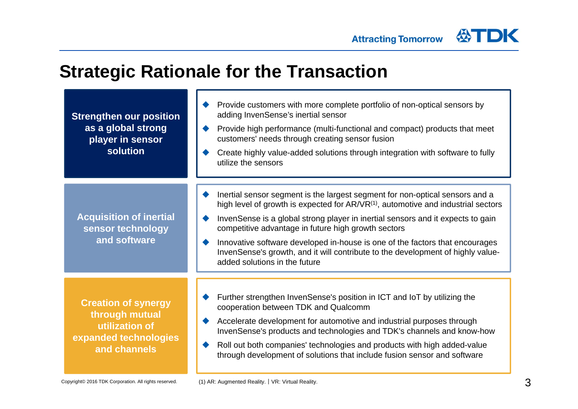### **Strategic Rationale for the Transaction**

**Strengthen our position as a global strong player in sensor solution**

**Acquisition of inertial sensor technology and software**

**Creation of synergy through mutual utilization of expanded technologies and channels**

- ♦ Provide customers with more complete portfolio of non-optical sensors by adding InvenSense's inertial sensor
- ♦ Provide high performance (multi-functional and compact) products that meet customers' needs through creating sensor fusion
- ♦ Create highly value-added solutions through integration with software to fully utilize the sensors
- ♦ Inertial sensor segment is the largest segment for non-optical sensors and a high level of growth is expected for  $AR/VR^{(1)}$ , automotive and industrial sectors
- ♦ InvenSense is a global strong player in inertial sensors and it expects to gain competitive advantage in future high growth sectors
- $\blacklozenge$  Innovative software developed in-house is one of the factors that encourages InvenSense's growth, and it will contribute to the development of highly valueadded solutions in the future
- $\blacklozenge$  Further strengthen InvenSense's position in ICT and IoT by utilizing the cooperation between TDK and Qualcomm
- $\blacklozenge$  Accelerate development for automotive and industrial purposes through InvenSense's products and technologies and TDK's channels and know-how
- $\blacklozenge$  Roll out both companies' technologies and products with high added-value through development of solutions that include fusion sensor and software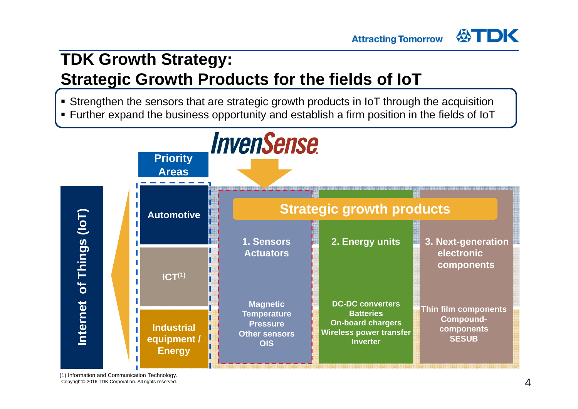### **TDK Growth Strategy: Strategic Growth Products for the fields of IoT**

Strengthen the sensors that are strategic growth products in IoT through the acquisition

**Attracting Tomorrow** 

Further expand the business opportunity and establish a firm position in the fields of IoT



(1) Information and Communication Technology. Copyright© 2016 TDK Corporation. All rights reserved.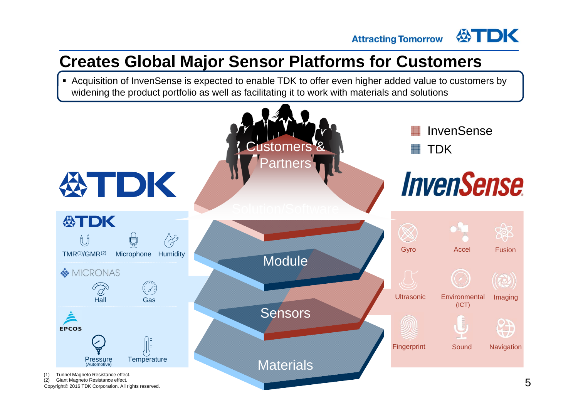**Attracting Tomorrow** 

公TDK

### **Creates Global Major Sensor Platforms for Customers**

 Acquisition of InvenSense is expected to enable TDK to offer even higher added value to customers by widening the product portfolio as well as facilitating it to work with materials and solutions

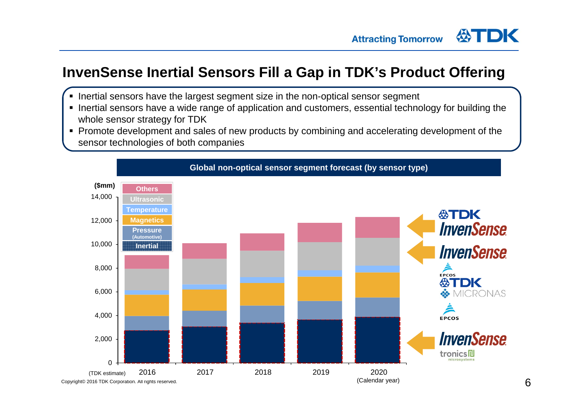### **InvenSense Inertial Sensors Fill a Gap in TDK's Product Offering**

- Inertial sensors have the largest segment size in the non-optical sensor segment
- **Inertial sensors have a wide range of application and customers, essential technology for building the** whole sensor strategy for TDK
- Promote development and sales of new products by combining and accelerating development of the sensor technologies of both companies

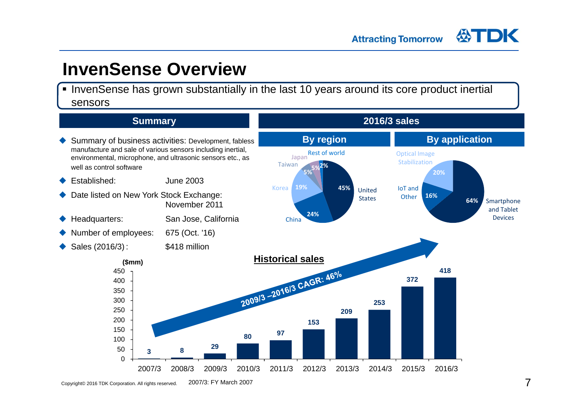### **InvenSense Overview**

**InvenSense has grown substantially in the last 10 years around its core product inertial** sensors



Copyright© 2016 TDK Corporation. All rights reserved. 2007/3: FY March 2007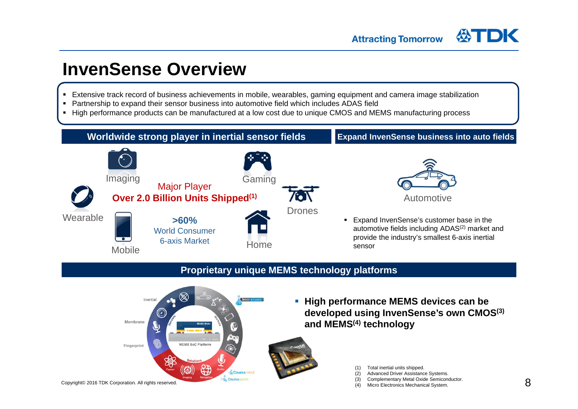### **InvenSense Overview**

- Extensive track record of business achievements in mobile, wearables, gaming equipment and camera image stabilization
- Partnership to expand their sensor business into automotive field which includes ADAS field
- $\blacksquare$ High performance products can be manufactured at a low cost due to unique CMOS and MEMS manufacturing process



### **Proprietary unique MEMS technology platforms**



**High performance MEMS devices can be developed using InvenSense's own CMOS(3) and MEMS(4) technology**



- (1) Total inertial units shipped.
- (2) Advanced Driver Assistance Systems.
- (3) Complementary Metal Oxide Semiconductor.
	- Micro Electronics Mechanical System.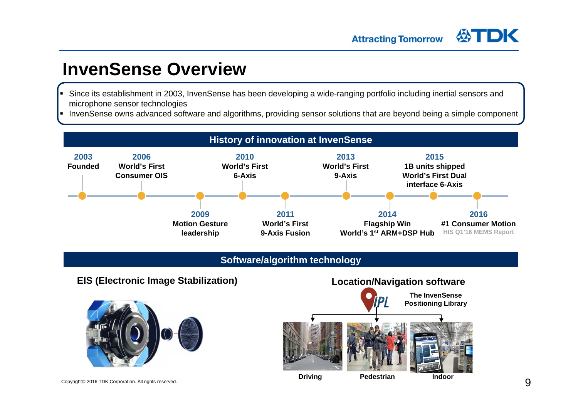### **InvenSense Overview**

- Since its establishment in 2003, InvenSense has been developing a wide-ranging portfolio including inertial sensors and microphone sensor technologies
- InvenSense owns advanced software and algorithms, providing sensor solutions that are beyond being a simple component



#### **Software/algorithm technology**

#### **EIS (Electronic Image Stabilization) Location/Navigation software**





**Driving Pedestrian Indoor**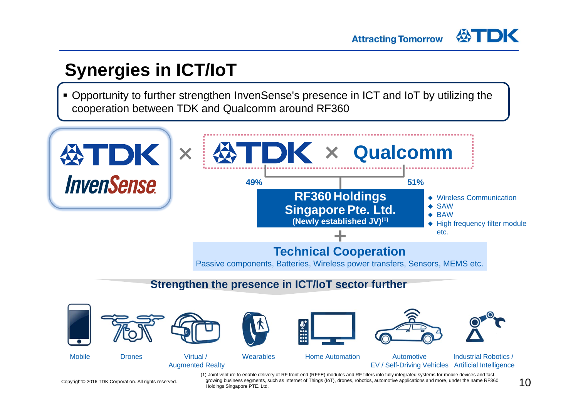# **Synergies in ICT/IoT**

 $\blacksquare$  Opportunity to further strengthen InvenSense's presence in ICT and IoT by utilizing the cooperation between TDK and Qualcomm around RF360



Copyright© 2016 TDK Corporation. All rights reserved.

(1) Joint venture to enable delivery of RF front-end (RFFE) modules and RF filters into fully integrated systems for mobile devices and fastgrowing business segments, such as Internet of Things (IoT), drones, robotics, automotive applications and more, under the name RF360 Holdings Singapore PTE. Ltd.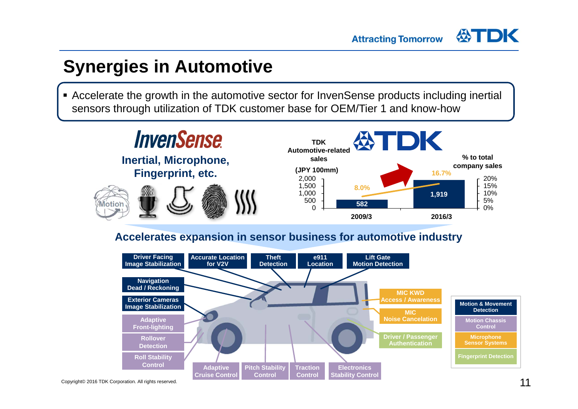### **Synergies in Automotive**

 Accelerate the growth in the automotive sector for InvenSense products including inertial sensors through utilization of TDK customer base for OEM/Tier 1 and know-how



### **Accelerates expansion in sensor business for automotive industry**

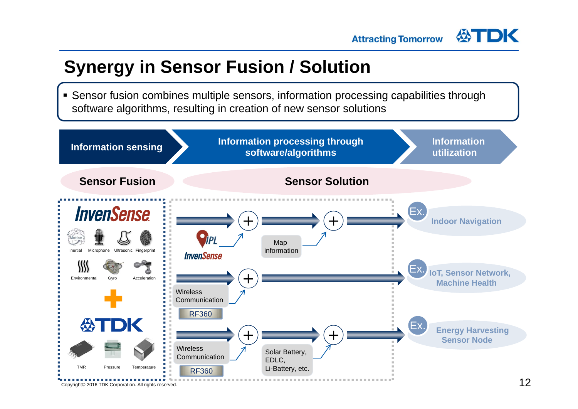## **Synergy in Sensor Fusion / Solution**

 Sensor fusion combines multiple sensors, information processing capabilities through software algorithms, resulting in creation of new sensor solutions

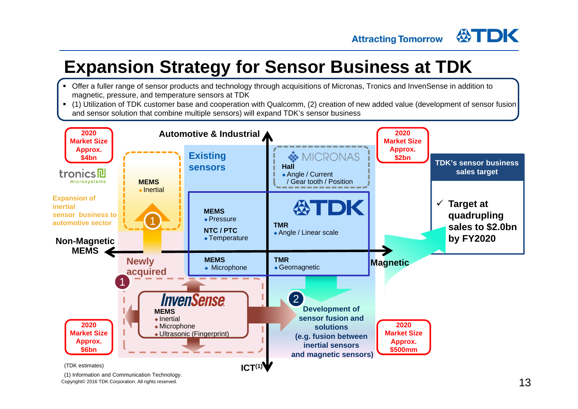# **Expansion Strategy for Sensor Business at TDK**

- Offer a fuller range of sensor products and technology through acquisitions of Micronas, Tronics and InvenSense in addition to magnetic, pressure, and temperature sensors at TDK
- $\blacksquare$  (1) Utilization of TDK customer base and cooperation with Qualcomm, (2) creation of new added value (development of sensor fusion and sensor solution that combine multiple sensors) will expand TDK's sensor business



(1) Information and Communication Technology. Copyright© 2016 TDK Corporation. All rights reserved.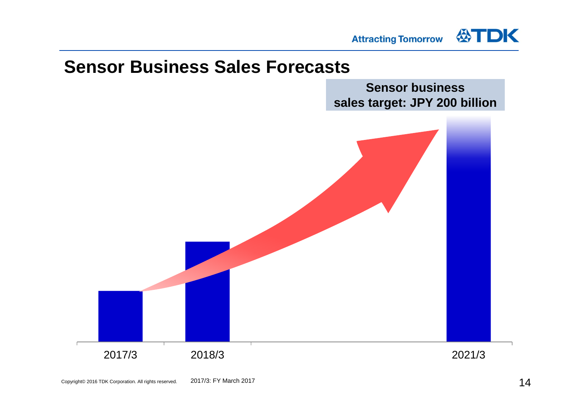

### **Sensor Business Sales Forecasts**

**Sensor business sales target: JPY 200 billion**

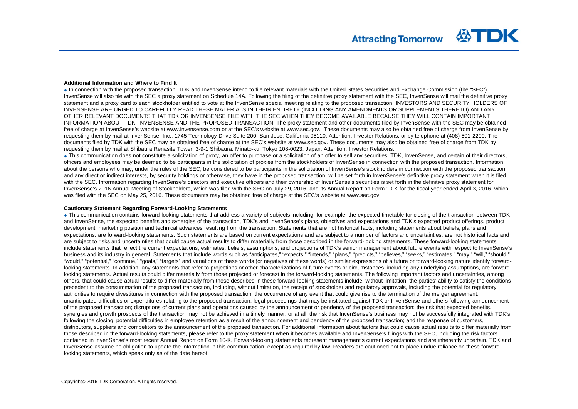#### **Additional Information and Where to Find It**

 In connection with the proposed transaction, TDK and InvenSense intend to file relevant materials with the United States Securities and Exchange Commission (the "SEC"). InvenSense will also file with the SEC a proxy statement on Schedule 14A. Following the filing of the definitive proxy statement with the SEC. InvenSense will mail the definitive proxy statement and a proxy card to each stockholder entitled to vote at the InvenSense special meeting relating to the proposed transaction. INVESTORS AND SECURITY HOLDERS OF INVENSENSE ARE URGED TO CAREFULLY READ THESE MATERIALS IN THEIR ENTIRETY (INCLUDING ANY AMENDMENTS OR SUPPLEMENTS THERETO) AND ANY OTHER RELEVANT DOCUMENTS THAT TDK OR INVENSENSE FILE WITH THE SEC WHEN THEY BECOME AVAILABLE BECAUSE THEY WILL CONTAIN IMPORTANTINFORMATION ABOUT TDK, INVENSENSE AND THE PROPOSED TRANSACTION. The proxy statement and other documents filed by InvenSense with the SEC may be obtained free of charge at InvenSense's website at www.invensense.com or at the SEC's website at www.sec.gov. These documents may also be obtained free of charge from InvenSense by requesting them by mail at InvenSense, Inc., 1745 Technology Drive Suite 200, San Jose, California 95110, Attention: Investor Relations, or by telephone at (408) 501-2200. The documents filed by TDK with the SEC may be obtained free of charge at the SEC's website at www.sec.gov. These documents may also be obtained free of charge from TDK by requesting them by mail at Shibaura Renasite Tower, 3-9-1 Shibaura, Minato-ku, Tokyo 108-0023, Japan, Attention: Investor Relations.

 This communication does not constitute a solicitation of proxy, an offer to purchase or a solicitation of an offer to sell any securities. TDK, InvenSense, and certain of their directors, officers and employees may be deemed to be participants in the solicitation of proxies from the stockholders of InvenSense in connection with the proposed transaction. Information about the persons who may, under the rules of the SEC, be considered to be participants in the solicitation of InvenSense's stockholders in connection with the proposed transaction, and any direct or indirect interests, by security holdings or otherwise, they have in the proposed transaction, will be set forth in InvenSense's definitive proxy statement when it is filed with the SEC. Information regarding InvenSense's directors and executive officers and their ownership of InvenSense's securities is set forth in the definitive proxy statement for InvenSense's 2016 Annual Meeting of Stockholders, which was filed with the SEC on July 29, 2016, and its Annual Report on Form 10-K for the fiscal year ended April 3, 2016, which was filed with the SEC on May 25, 2016. These documents may be obtained free of charge at the SEC's website at www.sec.gov.

#### **Cautionary Statement Regarding Forward-Looking Statements**

 This communication contains forward-looking statements that address a variety of subjects including, for example, the expected timetable for closing of the transaction between TDK and InvenSense, the expected benefits and synergies of the transaction, TDK's and InvenSense's plans, objectives and expectations and TDK's expected product offerings, product development, marketing position and technical advances resulting from the transaction. Statements that are not historical facts, including statements about beliefs, plans and expectations, are forward-looking statements. Such statements are based on current expectations and are subject to a number of factors and uncertainties, are not historical facts and are subject to risks and uncertainties that could cause actual results to differ materially from those described in the forward-looking statements. These forward-looking statements include statements that reflect the current expectations, estimates, beliefs, assumptions, and projections of TDK's senior management about future events with respect to InvenSense's business and its industry in general. Statements that include words such as "anticipates," "expects," "intends," "plans," "predicts," "believes," "seeks," "estimates," "may," "will," "should," "would," "potential," "continue," "goals," "targets" and variations of these words (or negatives of these words) or similar expressions of a future or forward-looking nature identify forwardlooking statements. In addition, any statements that refer to projections or other characterizations of future events or circumstances, including any underlying assumptions, are forwardlooking statements. Actual results could differ materially from those projected or forecast in the forward-looking statements. The following important factors and uncertainties, among others, that could cause actual results to differ materially from those described in these forward looking statements include, without limitation: the parties' ability to satisfy the conditions precedent to the consummation of the proposed transaction, including, without limitation, the receipt of stockholder and regulatory approvals, including the potential for regulatory authorities to require divestitures in connection with the proposed transaction; the occurrence of any event that could give rise to the termination of the merger agreement; unanticipated difficulties or expenditures relating to the proposed transaction; legal proceedings that may be instituted against TDK or InvenSense and others following announcement of the proposed transaction; disruptions of current plans and operations caused by the announcement or pendency of the proposed transaction; the risk that expected benefits, synergies and growth prospects of the transaction may not be achieved in a timely manner, or at all; the risk that InvenSense's business may not be successfully integrated with TDK's following the closing; potential difficulties in employee retention as a result of the announcement and pendency of the proposed transaction; and the response of customers, distributors, suppliers and competitors to the announcement of the proposed transaction. For additional information about factors that could cause actual results to differ materially from those described in the forward-looking statements, please refer to the proxy statement when it becomes available and InvenSense's filings with the SEC, including the risk factors contained in InvenSense's most recent Annual Report on Form 10-K. Forward-looking statements represent management's current expectations and are inherently uncertain. TDK and InvenSense assume no obligation to update the information in this communication, except as required by law. Readers are cautioned not to place undue reliance on these forwardlooking statements, which speak only as of the date hereof.